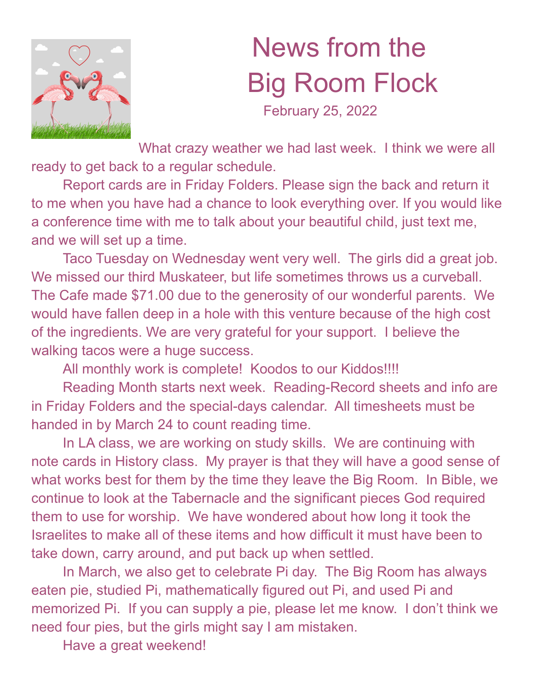

## News from the Big Room Flock

February 25, 2022

What crazy weather we had last week. I think we were all ready to get back to a regular schedule.

Report cards are in Friday Folders. Please sign the back and return it to me when you have had a chance to look everything over. If you would like a conference time with me to talk about your beautiful child, just text me, and we will set up a time.

Taco Tuesday on Wednesday went very well. The girls did a great job. We missed our third Muskateer, but life sometimes throws us a curveball. The Cafe made \$71.00 due to the generosity of our wonderful parents. We would have fallen deep in a hole with this venture because of the high cost of the ingredients. We are very grateful for your support. I believe the walking tacos were a huge success.

All monthly work is complete! Koodos to our Kiddos!!!!

Reading Month starts next week. Reading-Record sheets and info are in Friday Folders and the special-days calendar. All timesheets must be handed in by March 24 to count reading time.

In LA class, we are working on study skills. We are continuing with note cards in History class. My prayer is that they will have a good sense of what works best for them by the time they leave the Big Room. In Bible, we continue to look at the Tabernacle and the significant pieces God required them to use for worship. We have wondered about how long it took the Israelites to make all of these items and how difficult it must have been to take down, carry around, and put back up when settled.

In March, we also get to celebrate Pi day. The Big Room has always eaten pie, studied Pi, mathematically figured out Pi, and used Pi and memorized Pi. If you can supply a pie, please let me know. I don't think we need four pies, but the girls might say I am mistaken.

Have a great weekend!